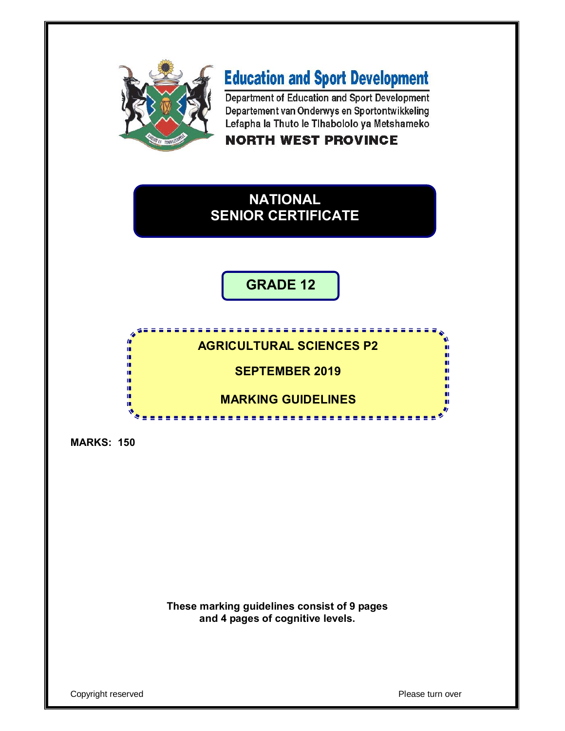

# **Education and Sport Development**

Department of Education and Sport Development Departement van Onderwys en Sportontwikkeling Lefapha la Thuto le Tihabololo ya Metshameko

## **NORTH WEST PROVINCE**

## **NATIONAL SENIOR CERTIFICATE**

**GRADE 12**

## **AGRICULTURAL SCIENCES P2**

**SEPTEMBER 2019**

## **MARKING GUIDELINES**

<u>..............</u>

**MARKS: 150**

In. Î ú, ú, ú. ш **III** 

> **These marking guidelines consist of 9 pages and 4 pages of cognitive levels.**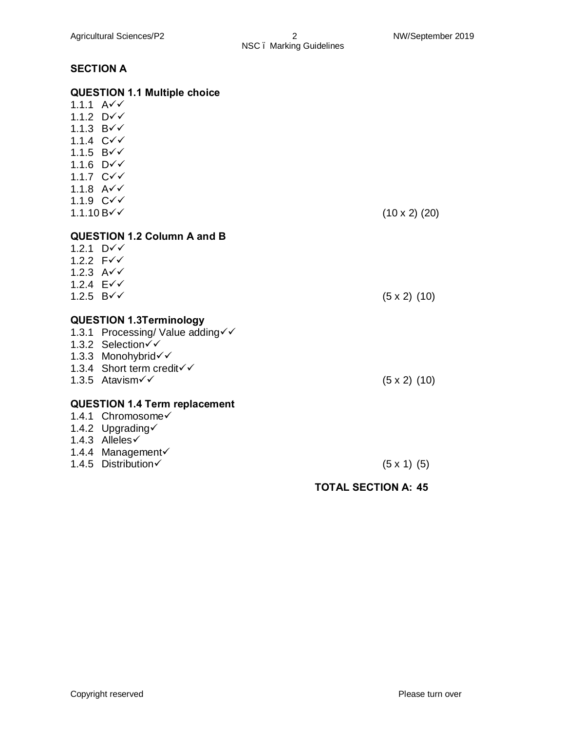# NSC – Marking Guidelines

## **SECTION A**

|                     | <b>QUESTION 1.1 Multiple choice</b>  |                            |
|---------------------|--------------------------------------|----------------------------|
| 1.1.1 $A\check{v}$  |                                      |                            |
| 1.1.2 $D\check{v}$  |                                      |                            |
| 1.1.3 $B\check{v}$  |                                      |                            |
| 1.1.4 $C\check{v}$  |                                      |                            |
| 1.1.5 $B\check{v}$  |                                      |                            |
| 1.1.6 $D\check{v}$  |                                      |                            |
| 1.1.7 $C\check{v}$  |                                      |                            |
| 1.1.8 $A\check{v}$  |                                      |                            |
| 1.1.9 $C\check{v}$  |                                      |                            |
| $1.1.10 B\check{v}$ |                                      | $(10 \times 2)$ (20)       |
|                     | <b>QUESTION 1.2 Column A and B</b>   |                            |
| 1.2.1 $D\sqrt{ }$   |                                      |                            |
| 1.2.2 $F\check{v}$  |                                      |                            |
| 1.2.3 $A\check{v}$  |                                      |                            |
| 1.2.4 $E\check{V}$  |                                      |                            |
| 1.2.5 $B\check{v}$  |                                      | $(5 \times 2)$ (10)        |
|                     | <b>QUESTION 1.3Terminology</b>       |                            |
|                     | 1.3.1 Processing/ Value adding√√     |                            |
|                     | 1.3.2 Selection√√                    |                            |
|                     | 1.3.3 Monohybrid√√                   |                            |
|                     | 1.3.4 Short term credit√√            |                            |
|                     | 1.3.5 Atavism√√                      | $(5 \times 2)$ (10)        |
|                     |                                      |                            |
|                     | <b>QUESTION 1.4 Term replacement</b> |                            |
|                     | 1.4.1 Chromosome√                    |                            |
|                     | 1.4.2 Upgrading√                     |                            |
|                     | 1.4.3 Alleles $\checkmark$           |                            |
|                     | 1.4.4 Management√                    |                            |
|                     | 1.4.5 Distribution√                  | $(5 \times 1)$ (5)         |
|                     |                                      | <b>TOTAL SECTION A: 45</b> |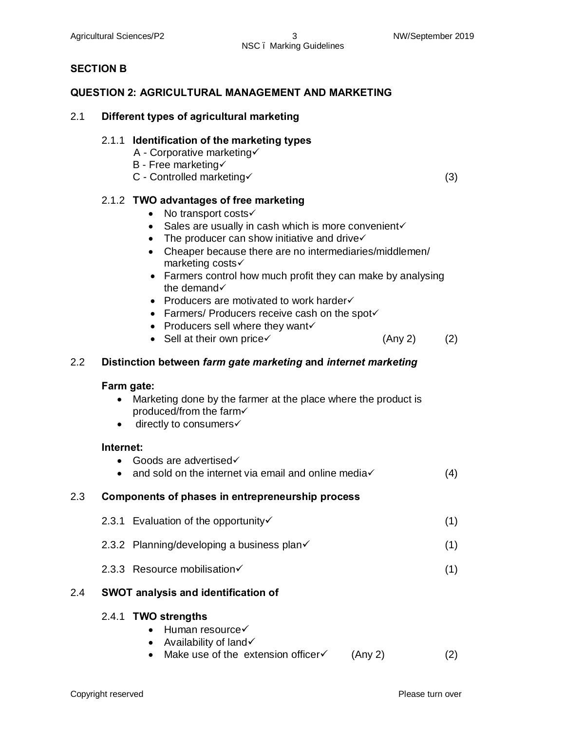#### Agricultural Sciences/P2 3 NW/September 2019 NSC – Marking Guidelines

#### **SECTION B**

#### **QUESTION 2: AGRICULTURAL MANAGEMENT AND MARKETING**

#### 2.1 **Different types of agricultural marketing**

#### 2.1.1 **Identification of the marketing types**

- A Corporative marketing
- $B$  Free marketing $\checkmark$
- $C$  Controlled marketing  $(3)$

#### 2.1.2 **TWO advantages of free marketing**

- No transport costs $\checkmark$
- Sales are usually in cash which is more convenient $\checkmark$
- The producer can show initiative and drive $\checkmark$
- · Cheaper because there are no intermediaries/middlemen/ marketing costs $\checkmark$
- Farmers control how much profit they can make by analysing the demand $\checkmark$
- Producers are motivated to work harder $\checkmark$
- Farmers/ Producers receive cash on the spot $\checkmark$
- Producers sell where they want $\checkmark$
- Sell at their own price $\checkmark$  (Any 2) (2)

#### 2.2 **Distinction between** *farm gate marketing* **and** *internet marketing*

#### **Farm gate:**

- Marketing done by the farmer at the place where the product is produced/from the farm $\checkmark$
- $\bullet$  directly to consumers $\checkmark$

#### **Internet:**

- Goods are advertised $\checkmark$
- and sold on the internet via email and online media $\checkmark$  (4)

#### 2.3 **Components of phases in entrepreneurship process**

- 2.3.1 Evaluation of the opportunity  $(1)$
- 2.3.2 Planning/developing a business plan $\checkmark$  (1)
- 2.3.3 Resource mobilisation $\checkmark$  (1)

#### 2.4 **SWOT analysis and identification of**

#### 2.4.1 **TWO strengths**

- $\bullet$  Human resource $\checkmark$
- Availability of land $\checkmark$
- Make use of the extension officer $\checkmark$  (Any 2) (2)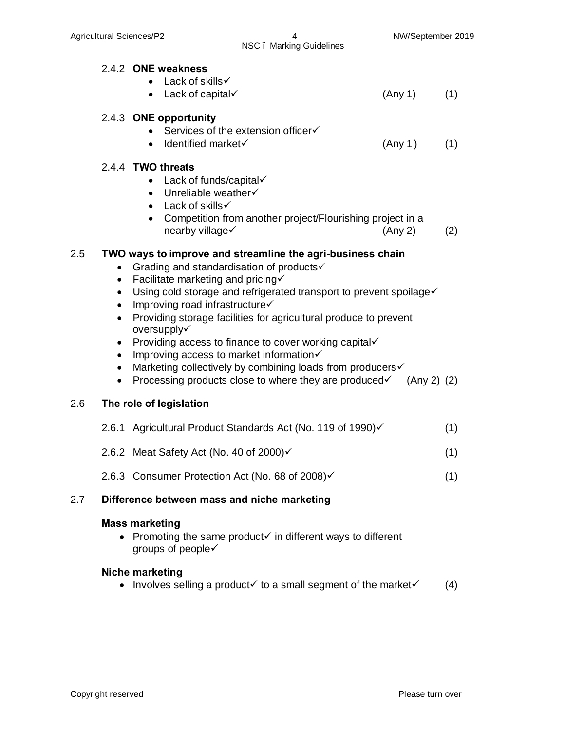2.4.2 **ONE weakness**

## • Lack of skills  $\checkmark$ • Lack of capital  $\checkmark$  (Any 1) (1) 2.4.3 **ONE opportunity** • Services of the extension officer $\checkmark$ • Identified market $\checkmark$  (Any 1) (1) 2.4.4 **TWO threats** • Lack of funds/capital $\checkmark$ • Unreliable weather $\checkmark$

- Lack of skills  $\checkmark$
- Competition from another project/Flourishing project in a  $nearby will age \checkmark$  (Any 2) (2)

### 2.5 **TWO ways to improve and streamline the agri-business chain**

- Grading and standardisation of products $\checkmark$
- Facilitate marketing and pricing $\checkmark$
- Using cold storage and refrigerated transport to prevent spoilage $\checkmark$
- Improving road infrastructure $\checkmark$
- · Providing storage facilities for agricultural produce to prevent oversupply√
- Providing access to finance to cover working capital $\checkmark$
- Improving access to market information $\checkmark$
- Marketing collectively by combining loads from producers $\checkmark$
- Processing products close to where they are produced  $\checkmark$  (Any 2) (2)

#### 2.6 **The role of legislation**

- 2.6.1 Agricultural Product Standards Act (No. 119 of 1990) $\checkmark$  (1)
- 2.6.2 Meat Safety Act (No. 40 of  $2000$ ) $\checkmark$  (1)
- 2.6.3 Consumer Protection Act (No. 68 of 2008) $\checkmark$  (1)

#### 2.7 **Difference between mass and niche marketing**

#### **Mass marketing**

• Promoting the same product  $\checkmark$  in different ways to different groups of people $\checkmark$ 

#### **Niche marketing**

• Involves selling a product  $\checkmark$  to a small segment of the market  $\checkmark$  (4)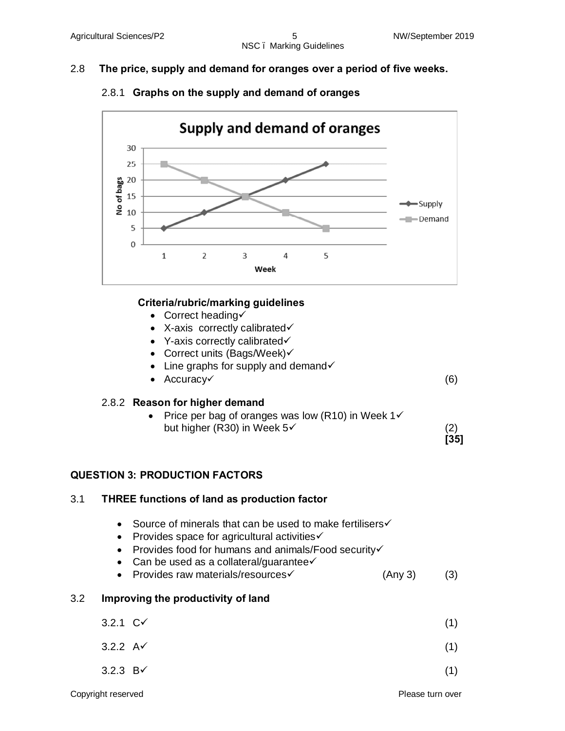## 2.8 **The price, supply and demand for oranges over a period of five weeks.**



## 2.8.1 **Graphs on the supply and demand of oranges**

### **Criteria/rubric/marking guidelines**

- Correct heading $\checkmark$
- X-axis correctly calibrated $\checkmark$
- Y-axis correctly calibrated $\checkmark$
- Correct units (Bags/Week) $\checkmark$
- Line graphs for supply and demand $\checkmark$
- $Accuracy \checkmark$  (6)

#### 2.8.2 **Reason for higher demand**

• Price per bag of oranges was low (R10) in Week  $1\checkmark$ but higher (R30) in Week  $5\checkmark$  (2)

### **QUESTION 3: PRODUCTION FACTORS**

# 3.1 **THREE functions of land as production factor** • Source of minerals that can be used to make fertilisers $\checkmark$ • Provides space for agricultural activities $\checkmark$ • Provides food for humans and animals/Food security $\checkmark$ • Can be used as a collateral/guarantee $\checkmark$ • Provides raw materials/resources $\checkmark$  (Any 3) (3) 3.2 **Improving the productivity of land**  $3.2.1 \, \text{C} \checkmark$  (1)  $3.2.2 \text{ A} \checkmark$  (1)  $3.2.3$  B $\checkmark$  (1)

**[35]**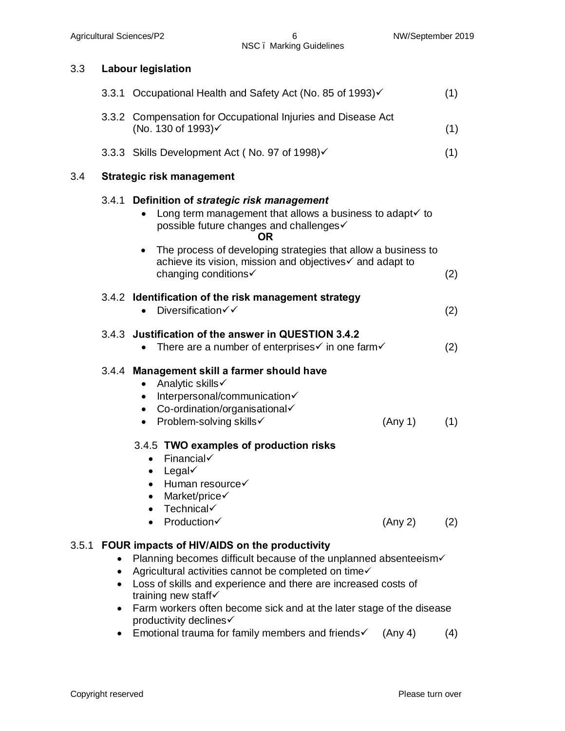## 3.3 **Labour legislation**

|       |                        | 3.3.1 Occupational Health and Safety Act (No. 85 of 1993)√                                                                                                                                                                                                                                                                                                          | (1) |
|-------|------------------------|---------------------------------------------------------------------------------------------------------------------------------------------------------------------------------------------------------------------------------------------------------------------------------------------------------------------------------------------------------------------|-----|
|       |                        | 3.3.2 Compensation for Occupational Injuries and Disease Act<br>(No. 130 of 1993)√                                                                                                                                                                                                                                                                                  | (1) |
|       |                        | 3.3.3 Skills Development Act (No. 97 of 1998)√                                                                                                                                                                                                                                                                                                                      | (1) |
| 3.4   |                        | <b>Strategic risk management</b>                                                                                                                                                                                                                                                                                                                                    |     |
|       |                        | 3.4.1 Definition of strategic risk management<br>Long term management that allows a business to adapt $\checkmark$ to<br>possible future changes and challenges√<br>OR                                                                                                                                                                                              |     |
|       |                        | The process of developing strategies that allow a business to<br>achieve its vision, mission and objectives√ and adapt to<br>changing conditions√                                                                                                                                                                                                                   | (2) |
|       |                        | 3.4.2 Identification of the risk management strategy<br>Diversification√√                                                                                                                                                                                                                                                                                           | (2) |
|       |                        | 3.4.3 Justification of the answer in QUESTION 3.4.2<br>There are a number of enterprises $\checkmark$ in one farm $\checkmark$                                                                                                                                                                                                                                      | (2) |
|       |                        | 3.4.4 Management skill a farmer should have<br>Analytic skills√<br>$\bullet$<br>Interpersonal/communication<br>Co-ordination/organisational<br>$\bullet$<br>Problem-solving skills√<br>(Any 1)<br>$\bullet$                                                                                                                                                         | (1) |
|       |                        | 3.4.5 TWO examples of production risks<br>Financial√<br>$\bullet$<br>Legal $\checkmark$<br>$\bullet$<br>Human resource√<br>$\bullet$<br>Market/price<br>$\bullet$<br>Technical√<br>Production√<br>(Any 2)                                                                                                                                                           | (2) |
| 3.5.1 | $\bullet$<br>$\bullet$ | FOUR impacts of HIV/AIDS on the productivity<br>Planning becomes difficult because of the unplanned absenteeism√<br>Agricultural activities cannot be completed on time√<br>Loss of skills and experience and there are increased costs of<br>training new staff√<br>Farm workers often become sick and at the later stage of the disease<br>productivity declines√ |     |

• Emotional trauma for family members and friends $\checkmark$  (Any 4) (4)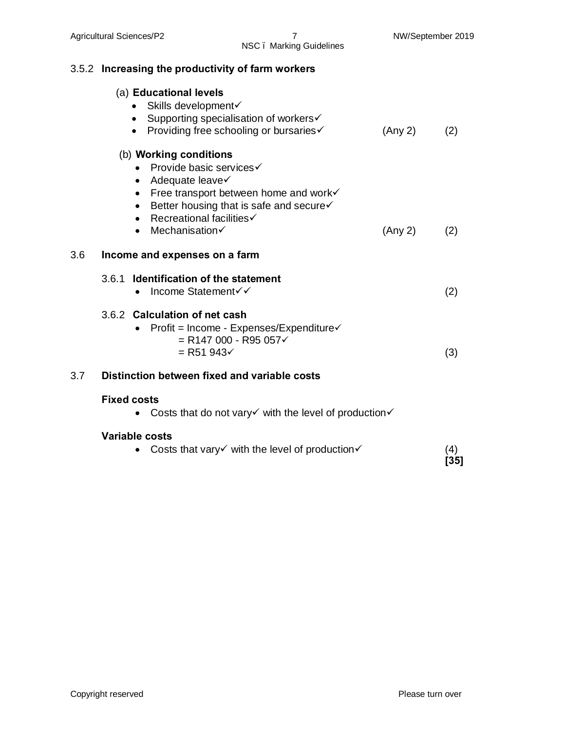## NSC – Marking Guidelines

|     | 3.5.2 Increasing the productivity of farm workers                                                                                                                                                                                                                                    |  |             |  |  |  |  |  |  |  |  |  |  |  |
|-----|--------------------------------------------------------------------------------------------------------------------------------------------------------------------------------------------------------------------------------------------------------------------------------------|--|-------------|--|--|--|--|--|--|--|--|--|--|--|
|     | (a) Educational levels<br>Skills development√<br>$\bullet$<br>Supporting specialisation of workers√<br>$\bullet$<br>• Providing free schooling or bursaries<br>(Any 2)                                                                                                               |  |             |  |  |  |  |  |  |  |  |  |  |  |
|     | (b) Working conditions<br>• Provide basic services<br>• Adequate leave $\checkmark$<br>Free transport between home and work√<br>$\bullet$<br>Better housing that is safe and secure√<br>$\bullet$<br>Recreational facilities√<br>$\bullet$<br>Mechanisation√<br>(Any 2)<br>$\bullet$ |  |             |  |  |  |  |  |  |  |  |  |  |  |
| 3.6 | Income and expenses on a farm                                                                                                                                                                                                                                                        |  |             |  |  |  |  |  |  |  |  |  |  |  |
|     | 3.6.1 Identification of the statement<br>Income Statement√√<br>$\bullet$                                                                                                                                                                                                             |  | (2)         |  |  |  |  |  |  |  |  |  |  |  |
|     | 3.6.2 Calculation of net cash<br>Profit = Income - Expenses/Expenditure√<br>$=$ R147 000 - R95 057 $\checkmark$<br>$=$ R51 943 $\checkmark$                                                                                                                                          |  | (3)         |  |  |  |  |  |  |  |  |  |  |  |
| 3.7 | Distinction between fixed and variable costs                                                                                                                                                                                                                                         |  |             |  |  |  |  |  |  |  |  |  |  |  |
|     | <b>Fixed costs</b><br>Costs that do not vary $\checkmark$ with the level of production $\checkmark$                                                                                                                                                                                  |  |             |  |  |  |  |  |  |  |  |  |  |  |
|     | <b>Variable costs</b><br>Costs that vary $\checkmark$ with the level of production $\checkmark$                                                                                                                                                                                      |  | (4)<br>[35] |  |  |  |  |  |  |  |  |  |  |  |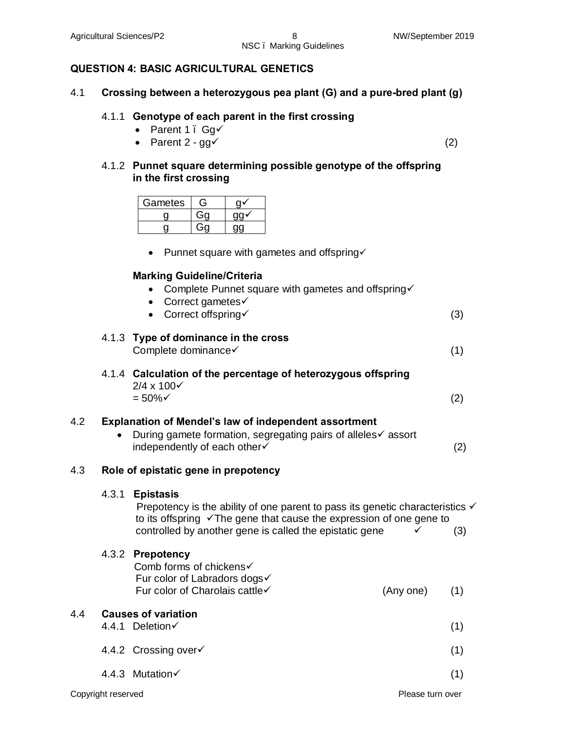### **QUESTION 4: BASIC AGRICULTURAL GENETICS**

4.1 **Crossing between a heterozygous pea plant (G) and a pure-bred plant (g)**

#### 4.1.1 **Genotype of each parent in the first crossing**

- Parent 1 .  $Ga\checkmark$
- Parent  $2 g g \checkmark$  (2)

4.1.2 **Punnet square determining possible genotype of the offspring in the first crossing**

| Gametes |  |
|---------|--|
|         |  |
|         |  |

• Punnet square with gametes and offspring $\checkmark$ 

#### **Marking Guideline/Criteria**

- Complete Punnet square with gametes and offspring $\checkmark$
- Correct gametes $\checkmark$
- Correct offspring  $(3)$

#### 4.1.3 **Type of dominance in the cross**

Complete dominance  $\checkmark$  (1)

4.1.4 **Calculation of the percentage of heterozygous offspring**  $2/4 \times 100\sqrt{ }$  $= 50\%$   $\checkmark$  (2)

#### 4.2 **Explanation of Mendel's law of independent assortment**

• During gamete formation, segregating pairs of alleles $\checkmark$  assort  $independently of each other \checkmark$  (2)

#### 4.3 **Role of epistatic gene in prepotency**

#### 4.3.1 **Epistasis**

Prepotency is the ability of one parent to pass its genetic characteristics  $\checkmark$ to its offspring  $\sqrt{T}$ he gene that cause the expression of one gene to controlled by another gene is called the epistatic gene  $\checkmark$  (3)

## 4.3.2 **Prepotency**

Comb forms of chickens $\checkmark$ Fur color of Labradors dogs $\checkmark$ Fur color of Charolais cattle $\checkmark$  (Any one) (1)

#### 4.4 **Causes of variation**

- $4.4.1$  Deletion $\checkmark$  (1)
- $4.4.2$  Crossing over  $\checkmark$  (1)
- $4.4.3$  Mutation $\checkmark$  (1)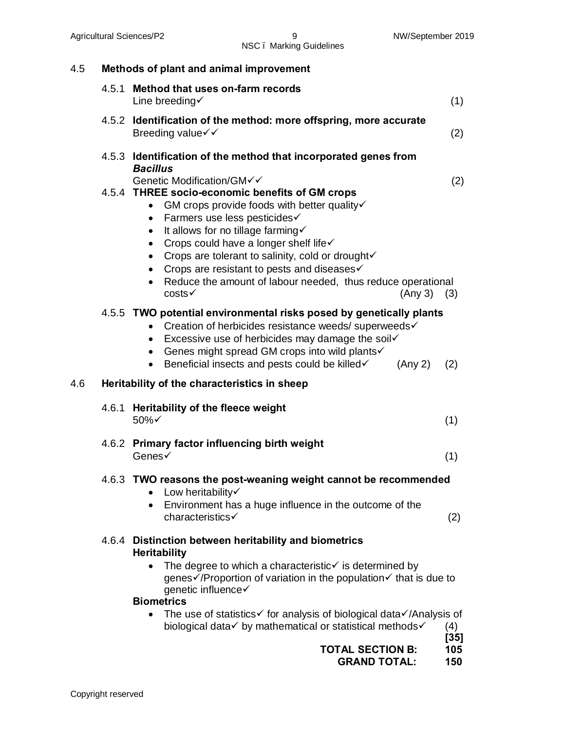| 4.5 |       | Methods of plant and animal improvement                                                                                                                                                                                                                                                                                                                                                                                                                                 |               |  |  |  |  |  |  |  |  |  |
|-----|-------|-------------------------------------------------------------------------------------------------------------------------------------------------------------------------------------------------------------------------------------------------------------------------------------------------------------------------------------------------------------------------------------------------------------------------------------------------------------------------|---------------|--|--|--|--|--|--|--|--|--|
|     | 4.5.1 | Method that uses on-farm records<br>Line breeding $\checkmark$                                                                                                                                                                                                                                                                                                                                                                                                          | (1)           |  |  |  |  |  |  |  |  |  |
|     |       | 4.5.2 Identification of the method: more offspring, more accurate<br>Breeding value√√                                                                                                                                                                                                                                                                                                                                                                                   | (2)           |  |  |  |  |  |  |  |  |  |
|     |       | 4.5.3 Identification of the method that incorporated genes from<br><b>Bacillus</b><br>Genetic Modification/GM√√                                                                                                                                                                                                                                                                                                                                                         | (2)           |  |  |  |  |  |  |  |  |  |
|     |       | 4.5.4 THREE socio-economic benefits of GM crops<br>GM crops provide foods with better quality√<br>$\bullet$<br>Farmers use less pesticides√<br>$\bullet$<br>It allows for no tillage farming√<br>$\bullet$<br>Crops could have a longer shelf life√<br>$\bullet$<br>• Crops are tolerant to salinity, cold or droughtv<br>• Crops are resistant to pests and diseases $\checkmark$<br>• Reduce the amount of labour needed, thus reduce operational<br>costs<br>(Any 3) | (3)           |  |  |  |  |  |  |  |  |  |
|     |       | 4.5.5 TWO potential environmental risks posed by genetically plants<br>Creation of herbicides resistance weeds/ superweeds√<br>$\bullet$<br>Excessive use of herbicides may damage the soil√<br>$\bullet$<br>• Genes might spread GM crops into wild plants<br>Beneficial insects and pests could be killed√<br>(Any 2)<br>$\bullet$                                                                                                                                    | (2)           |  |  |  |  |  |  |  |  |  |
| 4.6 |       | Heritability of the characteristics in sheep                                                                                                                                                                                                                                                                                                                                                                                                                            |               |  |  |  |  |  |  |  |  |  |
|     | 4.6.1 | Heritability of the fleece weight<br>50%√                                                                                                                                                                                                                                                                                                                                                                                                                               | (1)           |  |  |  |  |  |  |  |  |  |
|     |       | 4.6.2 Primary factor influencing birth weight<br>Genes√                                                                                                                                                                                                                                                                                                                                                                                                                 | (1)           |  |  |  |  |  |  |  |  |  |
|     |       | 4.6.3 TWO reasons the post-weaning weight cannot be recommended<br>Low heritability<br>Environment has a huge influence in the outcome of the<br>$\bullet$<br>characteristics√                                                                                                                                                                                                                                                                                          | (2)           |  |  |  |  |  |  |  |  |  |
|     | 4.6.4 | Distinction between heritability and biometrics<br><b>Heritability</b><br>The degree to which a characteristic $\checkmark$ is determined by<br>genes√/Proportion of variation in the population√ that is due to<br>genetic influence√<br><b>Biometrics</b>                                                                                                                                                                                                             |               |  |  |  |  |  |  |  |  |  |
|     |       | The use of statistics√ for analysis of biological data√/Analysis of<br>$\bullet$<br>biological data√ by mathematical or statistical methods√                                                                                                                                                                                                                                                                                                                            | (4)<br>$[35]$ |  |  |  |  |  |  |  |  |  |

**TOTAL SECTION B: 105**

 **GRAND TOTAL: 150**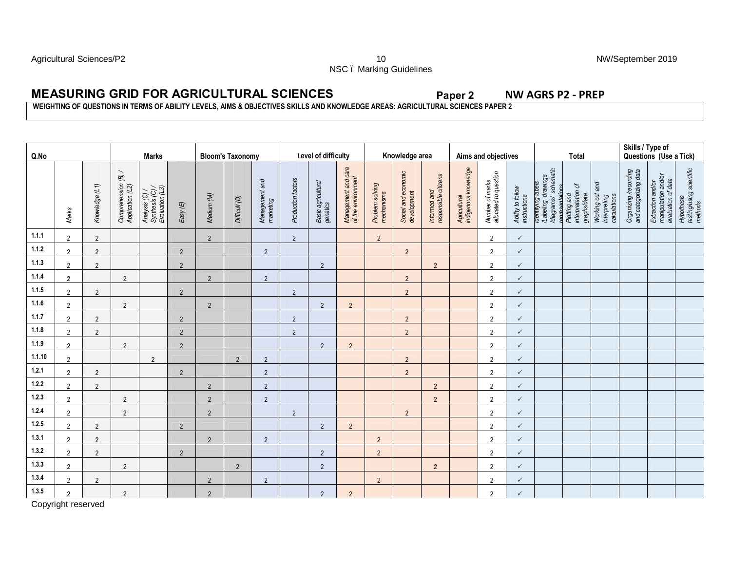Agricultural Sciences/P2 **10** NW/September 2019 NSC – Marking Guidelines

### **MEASURING GRID FOR AGRICULTURAL SCIENCES Paper 2 NW AGRS P2 - PREP**

#### **WEIGHTING OF QUESTIONS IN TERMS OF ABILITY LEVELS, AIMS & OBJECTIVES SKILLS AND KNOWLEDGE AREAS: AGRICULTURAL SCIENCES PAPER 2**

| Q.No   |                | <b>Marks</b>   |                                         |                                                      | <b>Bloom's Taxonomy</b> |                |                | Level of difficulty         |                    |                                | Knowledge area                            |                               |                                    |                                      | Aims and objectives                  |                                          |                                   | <b>Total</b>                                                                      |                                                  | Skills / Type of<br>Questions (Use a Tick)      |                                                |                                                                |                                                   |
|--------|----------------|----------------|-----------------------------------------|------------------------------------------------------|-------------------------|----------------|----------------|-----------------------------|--------------------|--------------------------------|-------------------------------------------|-------------------------------|------------------------------------|--------------------------------------|--------------------------------------|------------------------------------------|-----------------------------------|-----------------------------------------------------------------------------------|--------------------------------------------------|-------------------------------------------------|------------------------------------------------|----------------------------------------------------------------|---------------------------------------------------|
|        | Marks          | Knowledge (L1) | Comprehension (B) /<br>Application (L2) | Analysis (C) /<br>Synthesis (C) /<br>Evaluation (L3) | Easy (E)                | Medium (M)     | Difficult (D)  | Management and<br>marketing | Production factors | Basic agricultural<br>genetics | Management and care<br>of the environment | Problem solving<br>mechanisms | Social and economic<br>development | Informed and<br>responsible citizens | Agricultural<br>indigenous knowledge | Number of marks<br>allocated to question | Ability to follow<br>instructions | /diagrams/ schematic<br>renresentations<br>/Labeling drawings<br>rdentrymg labels | Plotting and<br>interpretation of<br>graphs/data | Working out and<br>Interpreting<br>calculations | Organizing /recording<br>and categorizing data | Extraction and/or<br>manipulation and/or<br>evaluation of data | Hypothesis<br>testing/using scientific<br>methods |
| 1.1.1  | $\overline{2}$ | $\overline{2}$ |                                         |                                                      |                         | $\overline{2}$ |                |                             | $\overline{2}$     |                                |                                           | $2^{\circ}$                   |                                    |                                      |                                      | $\overline{2}$                           | $\checkmark$                      |                                                                                   |                                                  |                                                 |                                                |                                                                |                                                   |
| 1.1.2  | $\overline{2}$ | $\overline{2}$ |                                         |                                                      | 2                       |                |                | $\overline{2}$              |                    |                                |                                           |                               | $\overline{2}$                     |                                      |                                      | $\overline{2}$                           | $\checkmark$                      |                                                                                   |                                                  |                                                 |                                                |                                                                |                                                   |
| 1.1.3  | $\overline{2}$ | $\overline{2}$ |                                         |                                                      | $\overline{2}$          |                |                |                             |                    | $\overline{2}$                 |                                           |                               |                                    | $\overline{2}$                       |                                      | $\overline{2}$                           | $\checkmark$                      |                                                                                   |                                                  |                                                 |                                                |                                                                |                                                   |
| 1.1.4  | $\overline{2}$ |                | $\overline{2}$                          |                                                      |                         | 2              |                | $\overline{2}$              |                    |                                |                                           |                               | $\overline{2}$                     |                                      |                                      | 2                                        | $\checkmark$                      |                                                                                   |                                                  |                                                 |                                                |                                                                |                                                   |
| 1.1.5  | $\overline{2}$ | $\overline{2}$ |                                         |                                                      | $\overline{2}$          |                |                |                             | $\overline{2}$     |                                |                                           |                               | $\overline{2}$                     |                                      |                                      | $\overline{2}$                           | $\checkmark$                      |                                                                                   |                                                  |                                                 |                                                |                                                                |                                                   |
| 1.1.6  | $\overline{2}$ |                | $\overline{2}$                          |                                                      |                         | $\overline{2}$ |                |                             |                    | $\overline{2}$                 | $\overline{2}$                            |                               |                                    |                                      |                                      | 2                                        | $\checkmark$                      |                                                                                   |                                                  |                                                 |                                                |                                                                |                                                   |
| 1.1.7  | 2              | 2              |                                         |                                                      | $\overline{2}$          |                |                |                             | 2                  |                                |                                           |                               | $\overline{2}$                     |                                      |                                      | 2                                        | $\checkmark$                      |                                                                                   |                                                  |                                                 |                                                |                                                                |                                                   |
| 1.1.8  | $\overline{2}$ | $\overline{2}$ |                                         |                                                      | $\overline{2}$          |                |                |                             | $\overline{2}$     |                                |                                           |                               | $\overline{2}$                     |                                      |                                      | $\overline{2}$                           | $\checkmark$                      |                                                                                   |                                                  |                                                 |                                                |                                                                |                                                   |
| 1.1.9  | $\overline{2}$ |                | $\overline{2}$                          |                                                      | 2                       |                |                |                             |                    | $\overline{2}$                 | $\overline{2}$                            |                               |                                    |                                      |                                      | 2                                        | $\checkmark$                      |                                                                                   |                                                  |                                                 |                                                |                                                                |                                                   |
| 1.1.10 | $\overline{2}$ |                |                                         | $\overline{2}$                                       |                         |                | $\overline{2}$ | $\overline{2}$              |                    |                                |                                           |                               | $\overline{2}$                     |                                      |                                      | 2                                        | $\checkmark$                      |                                                                                   |                                                  |                                                 |                                                |                                                                |                                                   |
| 1.2.1  | $\overline{2}$ | $\overline{2}$ |                                         |                                                      | $\overline{2}$          |                |                | $\overline{2}$              |                    |                                |                                           |                               | $\overline{2}$                     |                                      |                                      | 2                                        | $\checkmark$                      |                                                                                   |                                                  |                                                 |                                                |                                                                |                                                   |
| 1.2.2  | $\overline{2}$ | 2              |                                         |                                                      |                         | $\overline{2}$ |                | $\overline{2}$              |                    |                                |                                           |                               |                                    | $\overline{2}$                       |                                      | 2                                        | $\checkmark$                      |                                                                                   |                                                  |                                                 |                                                |                                                                |                                                   |
| 1.2.3  | $\overline{2}$ |                | $\overline{2}$                          |                                                      |                         | $\overline{2}$ |                | $\overline{2}$              |                    |                                |                                           |                               |                                    | $\overline{2}$                       |                                      | $\overline{2}$                           | $\checkmark$                      |                                                                                   |                                                  |                                                 |                                                |                                                                |                                                   |
| 1.2.4  | $\overline{2}$ |                | $\overline{2}$                          |                                                      |                         | 2              |                |                             | $\overline{2}$     |                                |                                           |                               | $\overline{2}$                     |                                      |                                      | $\overline{2}$                           | $\checkmark$                      |                                                                                   |                                                  |                                                 |                                                |                                                                |                                                   |
| 1.2.5  | $\overline{2}$ | 2              |                                         |                                                      | 2                       |                |                |                             |                    | $\overline{2}$                 | $\overline{2}$                            |                               |                                    |                                      |                                      | 2                                        | $\checkmark$                      |                                                                                   |                                                  |                                                 |                                                |                                                                |                                                   |
| 1.3.1  | $\overline{2}$ | $\overline{2}$ |                                         |                                                      |                         | $\overline{2}$ |                | $\overline{2}$              |                    |                                |                                           | $\overline{2}$                |                                    |                                      |                                      | 2                                        | $\checkmark$                      |                                                                                   |                                                  |                                                 |                                                |                                                                |                                                   |
| 1.3.2  | $\overline{2}$ | $\overline{2}$ |                                         |                                                      | $\overline{2}$          |                |                |                             |                    | $\overline{2}$                 |                                           | 2                             |                                    |                                      |                                      | $\overline{2}$                           | $\checkmark$                      |                                                                                   |                                                  |                                                 |                                                |                                                                |                                                   |
| 1.3.3  | $\overline{2}$ |                | $\overline{2}$                          |                                                      |                         |                | 2              |                             |                    | $\overline{2}$                 |                                           |                               |                                    | $\overline{2}$                       |                                      | $\overline{2}$                           | $\checkmark$                      |                                                                                   |                                                  |                                                 |                                                |                                                                |                                                   |
| 1.3.4  | $\overline{2}$ | 2              |                                         |                                                      |                         | $\overline{2}$ |                | $\overline{2}$              |                    |                                |                                           | 2                             |                                    |                                      |                                      | $\overline{2}$                           | $\checkmark$                      |                                                                                   |                                                  |                                                 |                                                |                                                                |                                                   |
| 1.3.5  | 2              |                | $\overline{2}$                          |                                                      |                         | $\overline{2}$ |                |                             |                    | $\overline{2}$                 | $\overline{2}$                            |                               |                                    |                                      |                                      | $\overline{2}$                           | $\checkmark$                      |                                                                                   |                                                  |                                                 |                                                |                                                                |                                                   |

Copyright reserved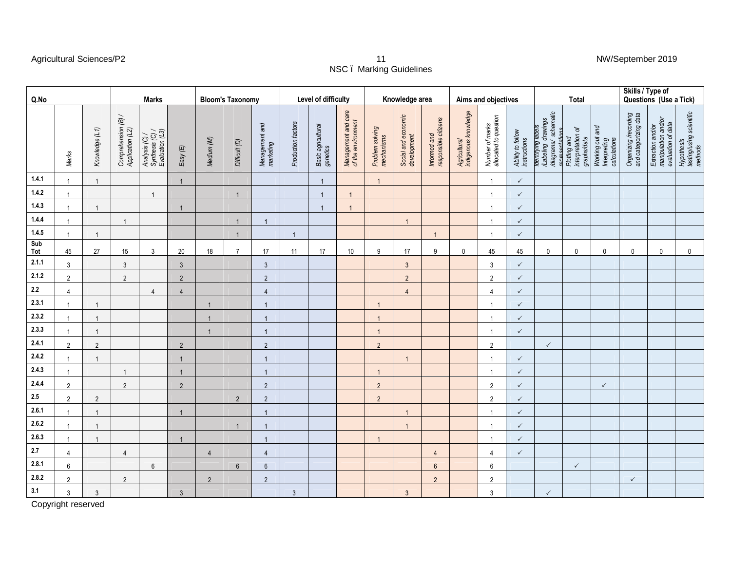#### Agricultural Sciences/P2 11 NW/September 2019

# NSC – Marking Guidelines

| Q.No       |                |                | <b>Marks</b>                            |                                                      |                | <b>Bloom's Taxonomy</b> |                |                             |                    | Level of difficulty            |                                           | Knowledge area                |                                    |                                      | Aims and objectives                  |                                          |                                   |                                                                                   | <b>Total</b>                                     |                                                 | Skills / Type of<br>Questions  (Use a Tick)    |                                                                |                                                   |
|------------|----------------|----------------|-----------------------------------------|------------------------------------------------------|----------------|-------------------------|----------------|-----------------------------|--------------------|--------------------------------|-------------------------------------------|-------------------------------|------------------------------------|--------------------------------------|--------------------------------------|------------------------------------------|-----------------------------------|-----------------------------------------------------------------------------------|--------------------------------------------------|-------------------------------------------------|------------------------------------------------|----------------------------------------------------------------|---------------------------------------------------|
|            | Marks          | Knowledge (L1) | Comprehension (B) /<br>Application (L2) | Analysis (C) /<br>Synthesis (C) /<br>Evaluation (L3) | Easy(E)        | Medium (M)              | Difficult (D)  | Management and<br>marketing | Production factors | Basic agricultural<br>genetics | Management and care<br>of the environment | Problem solving<br>mechanisms | Social and economic<br>development | Informed and<br>responsible citizens | Agricultural<br>indigenous knowledge | Number of marks<br>allocated to question | Ability to follow<br>instructions | nentnying labels<br>/Labeling drawings<br>/diagrams/ schematic<br>renresentations | Plotting and<br>interpretation of<br>graphs/data | Working out and<br>Interpreting<br>calculations | Organizing /recording<br>and categorizing data | Extraction and/or<br>manipulation and/or<br>evaluation of data | Hypothesis<br>testing/using scientific<br>methods |
| 1.4.1      | $\overline{1}$ | $\overline{1}$ |                                         |                                                      | $\mathbf{1}$   |                         |                |                             |                    | $\overline{1}$                 |                                           | $\mathbf{1}$                  |                                    |                                      |                                      | $\mathbf{1}$                             | $\checkmark$                      |                                                                                   |                                                  |                                                 |                                                |                                                                |                                                   |
| 1.4.2      | $\overline{1}$ |                |                                         | $\overline{1}$                                       |                |                         | $\overline{1}$ |                             |                    | $\overline{1}$                 |                                           |                               |                                    |                                      |                                      | $\mathbf{1}$                             | $\checkmark$                      |                                                                                   |                                                  |                                                 |                                                |                                                                |                                                   |
| 1.4.3      |                | $\overline{1}$ |                                         |                                                      | $\mathbf{1}$   |                         |                |                             |                    |                                |                                           |                               |                                    |                                      |                                      |                                          | $\checkmark$                      |                                                                                   |                                                  |                                                 |                                                |                                                                |                                                   |
| 1.4.4      |                |                | $\mathbf{1}$                            |                                                      |                |                         | $\mathbf{1}$   | $\overline{1}$              |                    |                                |                                           |                               | $\mathbf{1}$                       |                                      |                                      | 1                                        | $\checkmark$                      |                                                                                   |                                                  |                                                 |                                                |                                                                |                                                   |
| 1.4.5      | $\overline{1}$ | $\overline{1}$ |                                         |                                                      |                |                         | $\overline{1}$ |                             | $\overline{1}$     |                                |                                           |                               |                                    | $\mathbf{1}$                         |                                      | $\overline{1}$                           | $\checkmark$                      |                                                                                   |                                                  |                                                 |                                                |                                                                |                                                   |
| Sub<br>Tot | 45             | 27             | 15                                      | 3                                                    | $20\,$         | 18                      | $\overline{7}$ | 17                          | 11                 | 17                             | 10 <sup>°</sup>                           | 9                             | 17                                 | 9                                    | $\mathbf 0$                          | 45                                       | 45                                | $\mathbf 0$                                                                       | $\mathbf 0$                                      | $\mathbf 0$                                     | $\mathbf 0$                                    | $\mathbf 0$                                                    | $\mathbf 0$                                       |
| 2.1.1      | $\mathbf{3}$   |                | $\mathbf{3}$                            |                                                      | $\mathfrak{Z}$ |                         |                | $\mathbf{3}$                |                    |                                |                                           |                               | $\mathbf{3}$                       |                                      |                                      | 3                                        | $\checkmark$                      |                                                                                   |                                                  |                                                 |                                                |                                                                |                                                   |
| 2.1.2      | $\overline{2}$ |                | $\overline{2}$                          |                                                      | $\overline{2}$ |                         |                | $\overline{2}$              |                    |                                |                                           |                               | $\sqrt{2}$                         |                                      |                                      | $\overline{2}$                           | $\checkmark$                      |                                                                                   |                                                  |                                                 |                                                |                                                                |                                                   |
| $2.2\,$    | $\overline{4}$ |                |                                         | $\overline{4}$                                       | $\overline{4}$ |                         |                | $\overline{4}$              |                    |                                |                                           |                               | $\overline{4}$                     |                                      |                                      | $\overline{4}$                           | $\checkmark$                      |                                                                                   |                                                  |                                                 |                                                |                                                                |                                                   |
| 2.3.1      | $\overline{1}$ | $\overline{1}$ |                                         |                                                      |                | $\overline{1}$          |                | $\overline{1}$              |                    |                                |                                           | $\mathbf{1}$                  |                                    |                                      |                                      | -1                                       | $\checkmark$                      |                                                                                   |                                                  |                                                 |                                                |                                                                |                                                   |
| 2.3.2      | $\overline{1}$ | $\overline{1}$ |                                         |                                                      |                | $\overline{1}$          |                | $\overline{1}$              |                    |                                |                                           | $\overline{1}$                |                                    |                                      |                                      | $\overline{1}$                           | $\checkmark$                      |                                                                                   |                                                  |                                                 |                                                |                                                                |                                                   |
| 2.3.3      | $\overline{1}$ | $\overline{1}$ |                                         |                                                      |                | $\overline{1}$          |                | $\overline{1}$              |                    |                                |                                           | $\mathbf{1}$                  |                                    |                                      |                                      | $\overline{1}$                           | $\checkmark$                      |                                                                                   |                                                  |                                                 |                                                |                                                                |                                                   |
| 2.4.1      | $\overline{2}$ | $\overline{2}$ |                                         |                                                      | $\overline{2}$ |                         |                | $\overline{2}$              |                    |                                |                                           | $\overline{2}$                |                                    |                                      |                                      | $\overline{2}$                           |                                   | $\checkmark$                                                                      |                                                  |                                                 |                                                |                                                                |                                                   |
| 2.4.2      |                | $\overline{1}$ |                                         |                                                      | $\mathbf{1}$   |                         |                | $\overline{1}$              |                    |                                |                                           |                               | $\mathbf{1}$                       |                                      |                                      | $\overline{1}$                           | $\checkmark$                      |                                                                                   |                                                  |                                                 |                                                |                                                                |                                                   |
| 2.4.3      |                |                | $\overline{1}$                          |                                                      | -1             |                         |                | $\overline{1}$              |                    |                                |                                           |                               |                                    |                                      |                                      |                                          | $\checkmark$                      |                                                                                   |                                                  |                                                 |                                                |                                                                |                                                   |
| 2.4.4      | $\overline{2}$ |                | $\overline{2}$                          |                                                      | $\overline{2}$ |                         |                | $\overline{2}$              |                    |                                |                                           | $2^{\circ}$                   |                                    |                                      |                                      | $\overline{2}$                           | $\checkmark$                      |                                                                                   |                                                  | $\checkmark$                                    |                                                |                                                                |                                                   |
| 2.5        | $\overline{2}$ | $\sqrt{2}$     |                                         |                                                      |                |                         | $\overline{2}$ | $\sqrt{2}$                  |                    |                                |                                           | $\overline{2}$                |                                    |                                      |                                      | $\overline{2}$                           | $\checkmark$                      |                                                                                   |                                                  |                                                 |                                                |                                                                |                                                   |
| 2.6.1      | $\overline{1}$ | $\overline{1}$ |                                         |                                                      | $\mathbf{1}$   |                         |                | $\overline{1}$              |                    |                                |                                           |                               | $\mathbf{1}$                       |                                      |                                      | $\mathbf{1}$                             | $\checkmark$                      |                                                                                   |                                                  |                                                 |                                                |                                                                |                                                   |
| 2.6.2      |                | $\overline{1}$ |                                         |                                                      |                |                         | $\overline{1}$ | $\overline{1}$              |                    |                                |                                           |                               | $\overline{1}$                     |                                      |                                      | $\overline{1}$                           | $\checkmark$                      |                                                                                   |                                                  |                                                 |                                                |                                                                |                                                   |
| 2.6.3      | $\overline{1}$ | $\overline{1}$ |                                         |                                                      | $\mathbf{1}$   |                         |                | $\overline{1}$              |                    |                                |                                           | $\mathbf{1}$                  |                                    |                                      |                                      | $\overline{1}$                           | $\checkmark$                      |                                                                                   |                                                  |                                                 |                                                |                                                                |                                                   |
| $2.7$      | $\overline{4}$ |                | $\overline{4}$                          |                                                      |                | $\overline{4}$          |                | $\overline{4}$              |                    |                                |                                           |                               |                                    | $\overline{4}$                       |                                      | 4                                        | $\checkmark$                      |                                                                                   |                                                  |                                                 |                                                |                                                                |                                                   |
| 2.8.1      | 6              |                |                                         | $6\phantom{1}$                                       |                |                         | $6\phantom{1}$ | $6\phantom{1}$              |                    |                                |                                           |                               |                                    | $6\phantom{1}$                       |                                      | 6                                        |                                   |                                                                                   | $\checkmark$                                     |                                                 |                                                |                                                                |                                                   |
| 2.8.2      | $\overline{2}$ |                | $\overline{2}$                          |                                                      |                | $\overline{2}$          |                | $\overline{2}$              |                    |                                |                                           |                               |                                    | $\overline{2}$                       |                                      | $\sqrt{2}$                               |                                   |                                                                                   |                                                  |                                                 | $\checkmark$                                   |                                                                |                                                   |
| 3.1        | $\mathfrak{Z}$ | $\sqrt{3}$     |                                         |                                                      | $\mathfrak{Z}$ |                         |                |                             | $\mathbf{3}$       |                                |                                           |                               | $\mathbf{3}$                       |                                      |                                      | $\mathbf{3}$                             |                                   | $\checkmark$                                                                      |                                                  |                                                 |                                                |                                                                |                                                   |
|            |                |                |                                         |                                                      |                |                         |                |                             |                    |                                |                                           |                               |                                    |                                      |                                      |                                          |                                   |                                                                                   |                                                  |                                                 |                                                |                                                                |                                                   |

Copyright reserved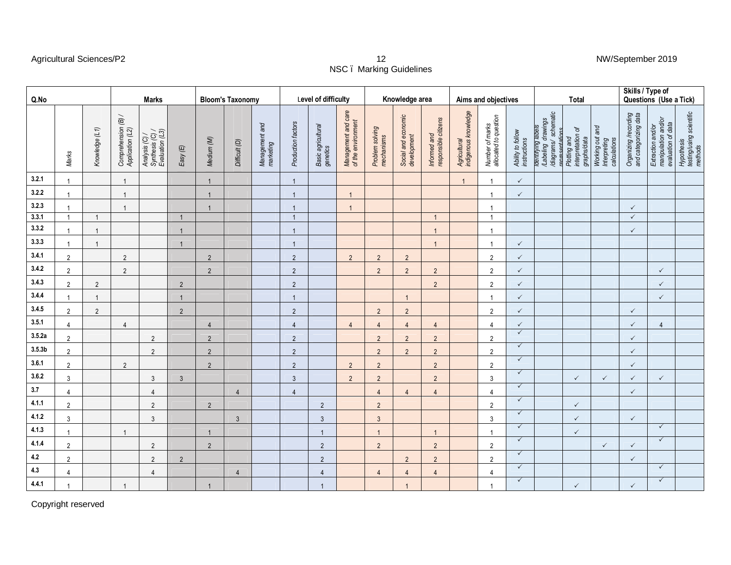#### Agricultural Sciences/P2 12 NW/September 2019

# NSC – Marking Guidelines

| Q.No               |                |                | <b>Marks</b>                            |                                                      |                | <b>Bloom's Taxonomy</b> |                |                             | Level of difficulty |                                |                                           | Knowledge area                |                                    |                                      |                                      | Aims and objectives                      |                                   |                                                                                     | Total                                            |                                                 | Skills / Type of<br>Questions (Use a Tick)     |                                                                |                                                   |
|--------------------|----------------|----------------|-----------------------------------------|------------------------------------------------------|----------------|-------------------------|----------------|-----------------------------|---------------------|--------------------------------|-------------------------------------------|-------------------------------|------------------------------------|--------------------------------------|--------------------------------------|------------------------------------------|-----------------------------------|-------------------------------------------------------------------------------------|--------------------------------------------------|-------------------------------------------------|------------------------------------------------|----------------------------------------------------------------|---------------------------------------------------|
|                    | Marks          | Knowledge (L1) | Comprehension (B) /<br>Application (L2) | Analysis (C) /<br>Synthesis (C) /<br>Evaluation (L3) | Easy(E)        | Medium (M)              | Difficult (D)  | Management and<br>marketing | Production factors  | Basic agricultural<br>genetics | Management and care<br>of the environment | Problem solving<br>mechanisms | Social and economic<br>development | Informed and<br>responsible citizens | Agricultural<br>indigenous knowledge | Number of marks<br>allocated to question | Ability to follow<br>instructions | /Labeling drawings<br>/diagrams/ schematic<br>renresentations<br>cleatifying labels | Plotting and<br>interpretation of<br>graphs/data | Working out and<br>Interpreting<br>calculations | Organizing /recording<br>and categorizing data | Extraction and/or<br>manipulation and/or<br>evaluation of data | Hypothesis<br>testing/using scientific<br>methods |
| 3.2.1              | $\overline{1}$ |                | $\overline{1}$                          |                                                      |                | $\mathbf{1}$            |                |                             |                     |                                |                                           |                               |                                    |                                      | $\overline{1}$                       | $\mathbf{1}$                             | $\checkmark$                      |                                                                                     |                                                  |                                                 |                                                |                                                                |                                                   |
| 3.2.2              | $\overline{1}$ |                | $\overline{1}$                          |                                                      |                | $\overline{1}$          |                |                             |                     |                                | $\overline{1}$                            |                               |                                    |                                      |                                      | $\overline{1}$                           | $\checkmark$                      |                                                                                     |                                                  |                                                 |                                                |                                                                |                                                   |
| 3.2.3              | 1              |                | $\overline{1}$                          |                                                      |                | $\overline{1}$          |                |                             |                     |                                | $\overline{1}$                            |                               |                                    |                                      |                                      |                                          |                                   |                                                                                     |                                                  |                                                 | $\checkmark$                                   |                                                                |                                                   |
| 3.3.1              | $\overline{1}$ | $\overline{1}$ |                                         |                                                      | $\mathbf{1}$   |                         |                |                             | $\overline{1}$      |                                |                                           |                               |                                    | $\overline{1}$                       |                                      | $\overline{1}$                           |                                   |                                                                                     |                                                  |                                                 | $\checkmark$                                   |                                                                |                                                   |
| 3.3.2              | $\overline{1}$ |                |                                         |                                                      | $\mathbf{1}$   |                         |                |                             |                     |                                |                                           |                               |                                    | $\overline{1}$                       |                                      | $\overline{1}$                           |                                   |                                                                                     |                                                  |                                                 | $\checkmark$                                   |                                                                |                                                   |
| 3.3.3              | $\overline{1}$ | $\overline{1}$ |                                         |                                                      | $\mathbf{1}$   |                         |                |                             | $\overline{1}$      |                                |                                           |                               |                                    | $\overline{1}$                       |                                      | $\mathbf{1}$                             | $\checkmark$                      |                                                                                     |                                                  |                                                 |                                                |                                                                |                                                   |
| 3.4.1              | $\overline{2}$ |                | $\overline{2}$                          |                                                      |                | $\overline{2}$          |                |                             | $\overline{2}$      |                                | $\overline{2}$                            | $2\overline{ }$               | $\sqrt{2}$                         |                                      |                                      | $\overline{2}$                           | $\checkmark$                      |                                                                                     |                                                  |                                                 |                                                |                                                                |                                                   |
| 3.4.2              | $\overline{2}$ |                | $\sqrt{2}$                              |                                                      |                | $\sqrt{2}$              |                |                             | $\sqrt{2}$          |                                |                                           | $2^{\circ}$                   | $\sqrt{2}$                         | $\overline{2}$                       |                                      | $\overline{2}$                           | $\checkmark$                      |                                                                                     |                                                  |                                                 |                                                | $\checkmark$                                                   |                                                   |
| 3.4.3              | $\overline{2}$ | $\overline{2}$ |                                         |                                                      | $\overline{2}$ |                         |                |                             | $\overline{2}$      |                                |                                           |                               |                                    | $\overline{2}$                       |                                      | $\overline{2}$                           | $\checkmark$                      |                                                                                     |                                                  |                                                 |                                                | $\checkmark$                                                   |                                                   |
| 3.4.4              | $\overline{1}$ |                |                                         |                                                      | $\mathbf{1}$   |                         |                |                             |                     |                                |                                           |                               | $\overline{1}$                     |                                      |                                      | $\overline{1}$                           | $\checkmark$                      |                                                                                     |                                                  |                                                 |                                                | $\checkmark$                                                   |                                                   |
| 3.4.5              | $\overline{2}$ | $\overline{2}$ |                                         |                                                      | $\overline{2}$ |                         |                |                             | 2                   |                                |                                           | $2^{\circ}$                   | $\overline{2}$                     |                                      |                                      | $\overline{2}$                           | $\checkmark$                      |                                                                                     |                                                  |                                                 | $\checkmark$                                   |                                                                |                                                   |
| 3.5.1              | $\overline{4}$ |                | $\overline{4}$                          |                                                      |                | $\overline{4}$          |                |                             | $\overline{4}$      |                                | $\overline{4}$                            | $\overline{4}$                | $\overline{4}$                     | $\overline{4}$                       |                                      | 4                                        | $\checkmark$                      |                                                                                     |                                                  |                                                 | $\checkmark$                                   | $\overline{4}$                                                 |                                                   |
| 3.5.2a             | $\overline{2}$ |                |                                         | $\overline{2}$                                       |                | $\overline{2}$          |                |                             | 2                   |                                |                                           | $2^{\circ}$                   | $\overline{2}$                     | $\overline{2}$                       |                                      | $\overline{2}$                           | $\checkmark$                      |                                                                                     |                                                  |                                                 | $\checkmark$                                   |                                                                |                                                   |
| 3.5.3 <sub>b</sub> | $\overline{2}$ |                |                                         | $\overline{2}$                                       |                | $\sqrt{2}$              |                |                             | $\overline{2}$      |                                |                                           | $2^{\circ}$                   | $\overline{2}$                     | $\overline{2}$                       |                                      | $\overline{2}$                           | $\checkmark$                      |                                                                                     |                                                  |                                                 | $\checkmark$                                   |                                                                |                                                   |
| 3.6.1              | $\overline{2}$ |                | $\overline{2}$                          |                                                      |                | $\sqrt{2}$              |                |                             | $\overline{2}$      |                                | $\overline{2}$                            | $\overline{2}$                |                                    | $\overline{2}$                       |                                      | $\overline{2}$                           | $\checkmark$                      |                                                                                     |                                                  |                                                 | $\checkmark$                                   |                                                                |                                                   |
| 3.6.2              | $\mathbf{3}$   |                |                                         | $\mathbf{3}$                                         | $\mathfrak{Z}$ |                         |                |                             | $\mathbf{3}$        |                                | $2^{\circ}$                               | $\overline{2}$                |                                    | $\overline{2}$                       |                                      | $\mathbf{3}$                             | $\checkmark$                      |                                                                                     | $\checkmark$                                     | $\checkmark$                                    | $\checkmark$                                   | $\checkmark$                                                   |                                                   |
| 3.7                | $\overline{4}$ |                |                                         | $\overline{4}$                                       |                |                         | $\overline{4}$ |                             | $\overline{4}$      |                                |                                           | $\overline{4}$                | $\overline{4}$                     | $\overline{4}$                       |                                      | $\overline{4}$                           | $\checkmark$                      |                                                                                     |                                                  |                                                 | $\checkmark$                                   |                                                                |                                                   |
| 4.1.1              | $\overline{2}$ |                |                                         | $\overline{2}$                                       |                | $\sqrt{2}$              |                |                             |                     | $\overline{2}$                 |                                           | $\overline{2}$                |                                    |                                      |                                      | $\overline{2}$                           | $\checkmark$                      |                                                                                     | $\checkmark$                                     |                                                 |                                                |                                                                |                                                   |
| 4.1.2              | $\mathbf{3}$   |                |                                         | $\mathbf{3}$                                         |                |                         | $\mathbf{3}$   |                             |                     | $\mathbf{3}$                   |                                           | $\mathbf{3}$                  |                                    |                                      |                                      | $\mathbf{3}$                             | $\checkmark$                      |                                                                                     | $\checkmark$                                     |                                                 | $\checkmark$                                   |                                                                |                                                   |
| 4.1.3              | $\overline{1}$ |                | $\overline{1}$                          |                                                      |                | $\overline{1}$          |                |                             |                     | $\overline{1}$                 |                                           | $\overline{1}$                |                                    | $\overline{1}$                       |                                      | $\overline{1}$                           | $\checkmark$                      |                                                                                     | $\checkmark$                                     |                                                 |                                                | $\checkmark$                                                   |                                                   |
| 4.1.4              | $\overline{2}$ |                |                                         | $\overline{2}$                                       |                | $\overline{2}$          |                |                             |                     | $\overline{2}$                 |                                           | $2^{\circ}$                   |                                    | $\overline{2}$                       |                                      | $\overline{2}$                           | $\checkmark$                      |                                                                                     |                                                  | $\checkmark$                                    | $\checkmark$                                   | $\checkmark$                                                   |                                                   |
| 4.2                | $\overline{2}$ |                |                                         | $\overline{2}$                                       | 2              |                         |                |                             |                     | $\overline{2}$                 |                                           |                               | $\overline{2}$                     | $\overline{2}$                       |                                      | $\overline{2}$                           | $\checkmark$                      |                                                                                     |                                                  |                                                 | $\checkmark$                                   |                                                                |                                                   |
| $4.3\,$            | $\overline{4}$ |                |                                         | $\overline{4}$                                       |                |                         | $\overline{4}$ |                             |                     | $\overline{4}$                 |                                           | $\overline{4}$                | $\overline{4}$                     | $\overline{4}$                       |                                      | $\overline{4}$                           | $\checkmark$                      |                                                                                     |                                                  |                                                 |                                                | $\checkmark$                                                   |                                                   |
| 4.4.1              | $\overline{1}$ |                | $\overline{1}$                          |                                                      |                | $\overline{1}$          |                |                             |                     | $\overline{1}$                 |                                           |                               | $\overline{1}$                     |                                      |                                      | $\overline{1}$                           | $\checkmark$                      |                                                                                     | $\checkmark$                                     |                                                 | $\checkmark$                                   | $\checkmark$                                                   |                                                   |

Copyright reserved